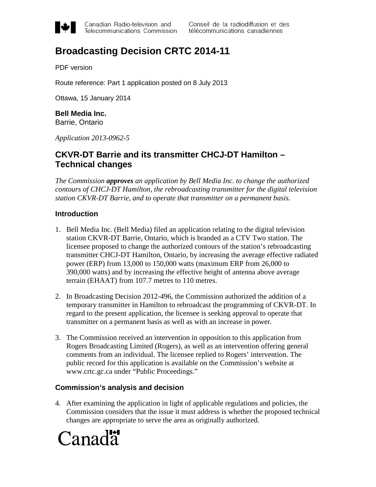

Canadian Radio-television and Telecommunications Commission

# **Broadcasting Decision CRTC 2014-11**

PDF version

Route reference: Part 1 application posted on 8 July 2013

Ottawa, 15 January 2014

**Bell Media Inc.** Barrie, Ontario

*Application 2013-0962-5*

# **CKVR-DT Barrie and its transmitter CHCJ-DT Hamilton – Technical changes**

*The Commission approves an application by Bell Media Inc. to change the authorized contours of CHCJ-DT Hamilton, the rebroadcasting transmitter for the digital television station CKVR-DT Barrie, and to operate that transmitter on a permanent basis.*

# **Introduction**

- 1. Bell Media Inc. (Bell Media) filed an application relating to the digital television station CKVR-DT Barrie, Ontario, which is branded as a CTV Two station. The licensee proposed to change the authorized contours of the station's rebroadcasting transmitter CHCJ-DT Hamilton, Ontario, by increasing the average effective radiated power (ERP) from 13,000 to 150,000 watts (maximum ERP from 26,000 to 390,000 watts) and by increasing the effective height of antenna above average terrain (EHAAT) from 107.7 metres to 110 metres.
- 2. In Broadcasting Decision 2012-496, the Commission authorized the addition of a temporary transmitter in Hamilton to rebroadcast the programming of CKVR-DT. In regard to the present application, the licensee is seeking approval to operate that transmitter on a permanent basis as well as with an increase in power.
- 3. The Commission received an intervention in opposition to this application from Rogers Broadcasting Limited (Rogers), as well as an intervention offering general comments from an individual. The licensee replied to Rogers' intervention. The public record for this application is available on the Commission's website at www.crtc.gc.ca under "Public Proceedings."

# **Commission's analysis and decision**

4. After examining the application in light of applicable regulations and policies, the Commission considers that the issue it must address is whether the proposed technical changes are appropriate to serve the area as originally authorized.

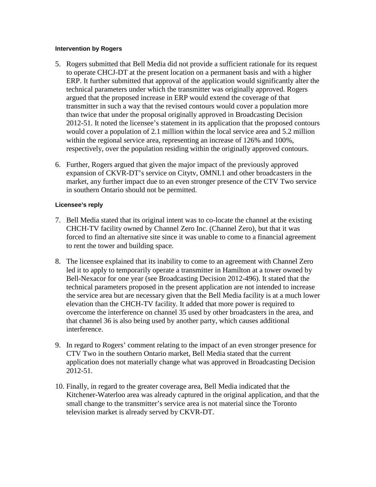#### **Intervention by Rogers**

- 5. Rogers submitted that Bell Media did not provide a sufficient rationale for its request to operate CHCJ-DT at the present location on a permanent basis and with a higher ERP. It further submitted that approval of the application would significantly alter the technical parameters under which the transmitter was originally approved. Rogers argued that the proposed increase in ERP would extend the coverage of that transmitter in such a way that the revised contours would cover a population more than twice that under the proposal originally approved in Broadcasting Decision 2012-51. It noted the licensee's statement in its application that the proposed contours would cover a population of 2.1 million within the local service area and 5.2 million within the regional service area, representing an increase of 126% and 100%, respectively, over the population residing within the originally approved contours.
- 6. Further, Rogers argued that given the major impact of the previously approved expansion of CKVR-DT's service on Citytv, OMNI.1 and other broadcasters in the market, any further impact due to an even stronger presence of the CTV Two service in southern Ontario should not be permitted.

### **Licensee's reply**

- 7. Bell Media stated that its original intent was to co-locate the channel at the existing CHCH-TV facility owned by Channel Zero Inc. (Channel Zero), but that it was forced to find an alternative site since it was unable to come to a financial agreement to rent the tower and building space.
- 8. The licensee explained that its inability to come to an agreement with Channel Zero led it to apply to temporarily operate a transmitter in Hamilton at a tower owned by Bell-Nexacor for one year (see Broadcasting Decision 2012-496). It stated that the technical parameters proposed in the present application are not intended to increase the service area but are necessary given that the Bell Media facility is at a much lower elevation than the CHCH-TV facility. It added that more power is required to overcome the interference on channel 35 used by other broadcasters in the area, and that channel 36 is also being used by another party, which causes additional interference.
- 9. In regard to Rogers' comment relating to the impact of an even stronger presence for CTV Two in the southern Ontario market, Bell Media stated that the current application does not materially change what was approved in Broadcasting Decision 2012-51.
- 10. Finally, in regard to the greater coverage area, Bell Media indicated that the Kitchener-Waterloo area was already captured in the original application, and that the small change to the transmitter's service area is not material since the Toronto television market is already served by CKVR-DT.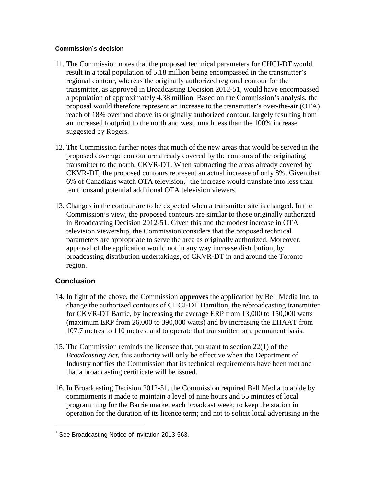#### **Commission's decision**

- 11. The Commission notes that the proposed technical parameters for CHCJ-DT would result in a total population of 5.18 million being encompassed in the transmitter's regional contour, whereas the originally authorized regional contour for the transmitter, as approved in Broadcasting Decision 2012-51, would have encompassed a population of approximately 4.38 million. Based on the Commission's analysis, the proposal would therefore represent an increase to the transmitter's over-the-air (OTA) reach of 18% over and above its originally authorized contour, largely resulting from an increased footprint to the north and west, much less than the 100% increase suggested by Rogers.
- 12. The Commission further notes that much of the new areas that would be served in the proposed coverage contour are already covered by the contours of the originating transmitter to the north, CKVR-DT. When subtracting the areas already covered by CKVR-DT, the proposed contours represent an actual increase of only 8%. Given that  $6\%$  of Canadians watch OTA television,<sup>[1](#page-2-0)</sup> the increase would translate into less than ten thousand potential additional OTA television viewers.
- 13. Changes in the contour are to be expected when a transmitter site is changed. In the Commission's view, the proposed contours are similar to those originally authorized in Broadcasting Decision 2012-51. Given this and the modest increase in OTA television viewership, the Commission considers that the proposed technical parameters are appropriate to serve the area as originally authorized. Moreover, approval of the application would not in any way increase distribution, by broadcasting distribution undertakings, of CKVR-DT in and around the Toronto region.

# **Conclusion**

 $\overline{a}$ 

- 14. In light of the above, the Commission **approves** the application by Bell Media Inc. to change the authorized contours of CHCJ-DT Hamilton, the rebroadcasting transmitter for CKVR-DT Barrie, by increasing the average ERP from 13,000 to 150,000 watts (maximum ERP from 26,000 to 390,000 watts) and by increasing the EHAAT from 107.7 metres to 110 metres, and to operate that transmitter on a permanent basis.
- 15. The Commission reminds the licensee that, pursuant to section 22(1) of the *Broadcasting Act*, this authority will only be effective when the Department of Industry notifies the Commission that its technical requirements have been met and that a broadcasting certificate will be issued.
- 16. In Broadcasting Decision 2012-51, the Commission required Bell Media to abide by commitments it made to maintain a level of nine hours and 55 minutes of local programming for the Barrie market each broadcast week; to keep the station in operation for the duration of its licence term; and not to solicit local advertising in the

<span id="page-2-0"></span><sup>&</sup>lt;sup>1</sup> See Broadcasting Notice of Invitation 2013-563.